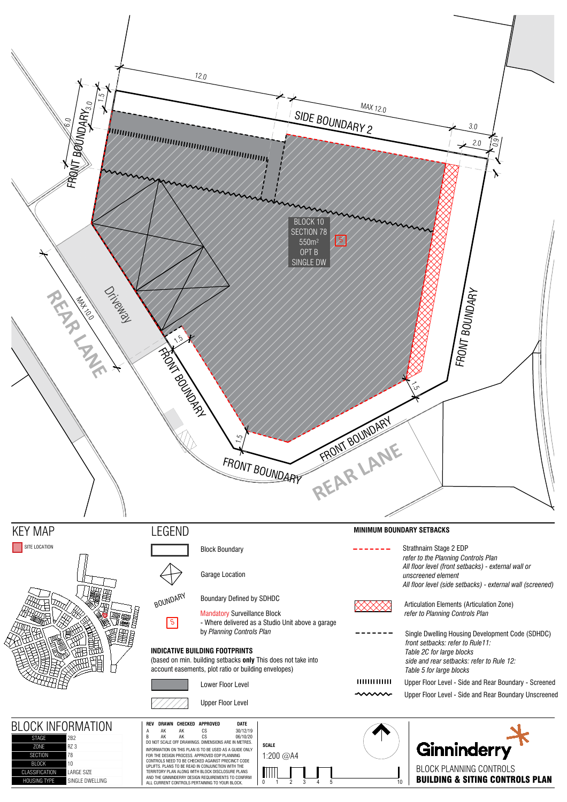